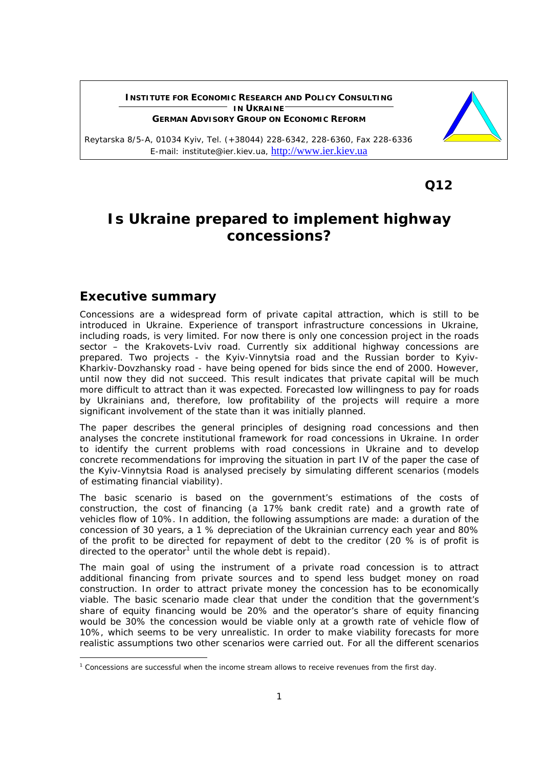#### **INSTITUTE FOR ECONOMIC RESEARCH AND POLICY CONSULTING IN UKRAINE GERMAN ADVISORY GROUP ON ECONOMIC REFORM**

Reytarska 8/5-A, 01034 Kyiv, Tel. (+38044) 228-6342, 228-6360, Fax 228-6336 E-mail: institute@ier.kiev.ua, http://www.ier.kiev.ua

**12 C**  $\sim$  **C**  $\sim$  **C**  $\sim$  **C**  $\sim$  **C**  $\sim$  **C**  $\sim$  **C**  $\sim$  **C**  $\sim$  **C**  $\sim$  **C**  $\sim$  **C**  $\sim$  **C**  $\sim$  **C**  $\sim$  **C**  $\sim$  **C**  $\sim$  **C**  $\sim$  **C**  $\sim$  **C**  $\sim$  **C**  $\sim$  **C**  $\sim$  **C**  $\sim$  **C**  $\sim$  **C**  $\sim$  **C**  $\sim$ 

# **Is Ukraine prepared to implement highway concessions?**

### **Executive summary**

Concessions are a widespread form of private capital attraction, which is still to be introduced in Ukraine. Experience of transport infrastructure concessions in Ukraine, including roads, is very limited. For now there is only one concession project in the roads sector – the Krakovets-Lviv road. Currently six additional highway concessions are prepared. Two projects - the Kyiv-Vinnytsia road and the Russian border to Kyiv-Kharkiv-Dovzhansky road - have being opened for bids since the end of 2000. However, until now they did not succeed. This result indicates that private capital will be much more difficult to attract than it was expected. Forecasted low willingness to pay for roads by Ukrainians and, therefore, low profitability of the projects will require a more significant involvement of the state than it was initially planned.

The paper describes the general principles of designing road concessions and then analyses the concrete institutional framework for road concessions in Ukraine. In order to identify the current problems with road concessions in Ukraine and to develop concrete recommendations for improving the situation in part IV of the paper the case of the Kyiv-Vinnytsia Road is analysed precisely by simulating different scenarios (models of estimating financial viability).

The basic scenario is based on the government's estimations of the costs of construction, the cost of financing (a 17% bank credit rate) and a growth rate of vehicles flow of 10%. In addition, the following assumptions are made: a duration of the concession of 30 years, a 1 % depreciation of the Ukrainian currency each year and 80% of the profit to be directed for repayment of debt to the creditor (20 % is of profit is directed to the operator<sup>1</sup> until the whole debt is repaid).

The main goal of using the instrument of a private road concession is to attract additional financing from private sources and to spend less budget money on road construction. In order to attract private money the concession has to be economically viable. The basic scenario made clear that under the condition that the government's share of equity financing would be 20% and the operator's share of equity financing would be 30% the concession would be viable only at a growth rate of vehicle flow of 10%, which seems to be very unrealistic. In order to make viability forecasts for more realistic assumptions two other scenarios were carried out. For all the different scenarios



<sup>&</sup>lt;sup>1</sup> Concessions are successful when the income stream allows to receive revenues from the first day.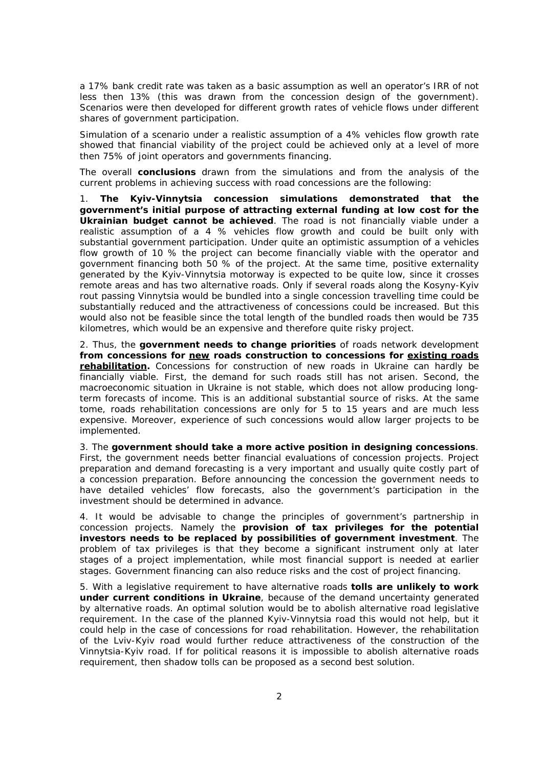a 17% bank credit rate was taken as a basic assumption as well an operator's IRR of not less then 13% (this was drawn from the concession design of the government). Scenarios were then developed for different growth rates of vehicle flows under different shares of government participation.

Simulation of a scenario under a realistic assumption of a 4% vehicles flow growth rate showed that financial viability of the project could be achieved only at a level of more then 75% of joint operators and governments financing.

The overall **conclusions** drawn from the simulations and from the analysis of the current problems in achieving success with road concessions are the following:

1. **The Kyiv-Vinnytsia concession simulations demonstrated that the government's initial purpose of attracting external funding at low cost for the Ukrainian budget cannot be achieved**. The road is not financially viable under a realistic assumption of a 4 % vehicles flow growth and could be built only with substantial government participation. Under quite an optimistic assumption of a vehicles flow growth of 10 % the project can become financially viable with the operator and government financing both 50 % of the project. At the same time, positive externality generated by the Kyiv-Vinnytsia motorway is expected to be quite low, since it crosses remote areas and has two alternative roads. Only if several roads along the Kosyny-Kyiv rout passing Vinnytsia would be bundled into a single concession travelling time could be substantially reduced and the attractiveness of concessions could be increased. But this would also not be feasible since the total length of the bundled roads then would be 735 kilometres, which would be an expensive and therefore quite risky project.

2. Thus, the **government needs to change priorities** of roads network development **from concessions for new roads construction to concessions for existing roads rehabilitation.** Concessions for construction of new roads in Ukraine can hardly be financially viable. First, the demand for such roads still has not arisen. Second, the macroeconomic situation in Ukraine is not stable, which does not allow producing longterm forecasts of income. This is an additional substantial source of risks. At the same tome, roads rehabilitation concessions are only for 5 to 15 years and are much less expensive. Moreover, experience of such concessions would allow larger projects to be implemented.

3. The **government should take a more active position in designing concessions**. First, the government needs better financial evaluations of concession projects. Project preparation and demand forecasting is a very important and usually quite costly part of a concession preparation. Before announcing the concession the government needs to have detailed vehicles' flow forecasts, also the government's participation in the investment should be determined in advance.

4. It would be advisable to change the principles of government's partnership in concession projects. Namely the **provision of tax privileges for the potential investors needs to be replaced by possibilities of government investment**. The problem of tax privileges is that they become a significant instrument only at later stages of a project implementation, while most financial support is needed at earlier stages. Government financing can also reduce risks and the cost of project financing.

5. With a legislative requirement to have alternative roads **tolls are unlikely to work under current conditions in Ukraine**, because of the demand uncertainty generated by alternative roads. An optimal solution would be to abolish alternative road legislative requirement. In the case of the planned Kyiv-Vinnytsia road this would not help, but it could help in the case of concessions for road rehabilitation. However, the rehabilitation of the Lviv-Kyiv road would further reduce attractiveness of the construction of the Vinnytsia-Kyiv road. If for political reasons it is impossible to abolish alternative roads requirement, then shadow tolls can be proposed as a second best solution.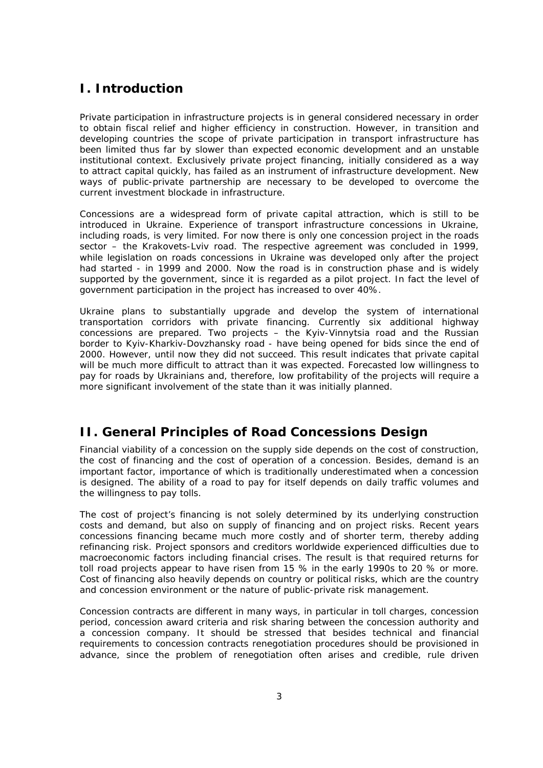# **I. Introduction**

Private participation in infrastructure projects is in general considered necessary in order to obtain fiscal relief and higher efficiency in construction. However, in transition and developing countries the scope of private participation in transport infrastructure has been limited thus far by slower than expected economic development and an unstable institutional context. Exclusively private project financing, initially considered as a way to attract capital quickly, has failed as an instrument of infrastructure development. New ways of public-private partnership are necessary to be developed to overcome the current investment blockade in infrastructure.

Concessions are a widespread form of private capital attraction, which is still to be introduced in Ukraine. Experience of transport infrastructure concessions in Ukraine, including roads, is very limited. For now there is only one concession project in the roads sector – the Krakovets-Lviv road. The respective agreement was concluded in 1999, while legislation on roads concessions in Ukraine was developed only after the project had started - in 1999 and 2000. Now the road is in construction phase and is widely supported by the government, since it is regarded as a pilot project. In fact the level of government participation in the project has increased to over 40%.

Ukraine plans to substantially upgrade and develop the system of international transportation corridors with private financing. Currently six additional highway concessions are prepared. Two projects – the Kyiv-Vinnytsia road and the Russian border to Kyiv-Kharkiv-Dovzhansky road - have being opened for bids since the end of 2000. However, until now they did not succeed. This result indicates that private capital will be much more difficult to attract than it was expected. Forecasted low willingness to pay for roads by Ukrainians and, therefore, low profitability of the projects will require a more significant involvement of the state than it was initially planned.

# **II. General Principles of Road Concessions Design**

Financial viability of a concession on the supply side depends on the cost of construction, the cost of financing and the cost of operation of a concession. Besides, demand is an important factor, importance of which is traditionally underestimated when a concession is designed. The ability of a road to pay for itself depends on daily traffic volumes and the willingness to pay tolls.

The cost of project's financing is not solely determined by its underlying construction costs and demand, but also on supply of financing and on project risks. Recent years concessions financing became much more costly and of shorter term, thereby adding refinancing risk. Project sponsors and creditors worldwide experienced difficulties due to macroeconomic factors including financial crises. The result is that required returns for toll road projects appear to have risen from 15 % in the early 1990s to 20 % or more. Cost of financing also heavily depends on country or political risks, which are the country and concession environment or the nature of public-private risk management.

Concession contracts are different in many ways, in particular in toll charges, concession period, concession award criteria and risk sharing between the concession authority and a concession company. It should be stressed that besides technical and financial requirements to concession contracts renegotiation procedures should be provisioned in advance, since the problem of renegotiation often arises and credible, rule driven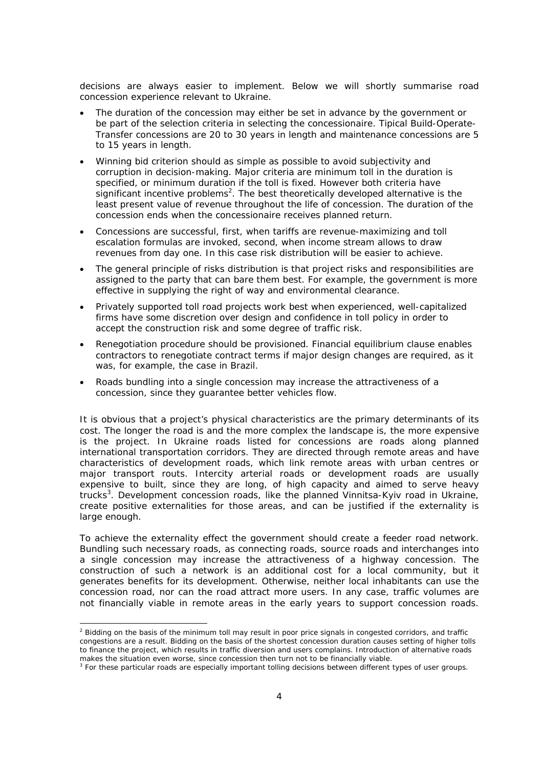decisions are always easier to implement. Below we will shortly summarise road concession experience relevant to Ukraine.

- The duration of the concession may either be set in advance by the government or be part of the selection criteria in selecting the concessionaire. Tipical Build-Operate-Transfer concessions are 20 to 30 years in length and maintenance concessions are 5 to 15 years in length.
- Winning bid criterion should as simple as possible to avoid subjectivity and corruption in decision-making. Major criteria are minimum toll in the duration is specified, or minimum duration if the toll is fixed. However both criteria have significant incentive problems<sup>2</sup>. The best theoretically developed alternative is the least present value of revenue throughout the life of concession. The duration of the concession ends when the concessionaire receives planned return.
- Concessions are successful, first, when tariffs are revenue-maximizing and toll escalation formulas are invoked, second, when income stream allows to draw revenues from day one. In this case risk distribution will be easier to achieve.
- The general principle of risks distribution is that project risks and responsibilities are assigned to the party that can bare them best. For example, the government is more effective in supplying the right of way and environmental clearance.
- Privately supported toll road projects work best when experienced, well-capitalized firms have some discretion over design and confidence in toll policy in order to accept the construction risk and some degree of traffic risk.
- Renegotiation procedure should be provisioned. Financial equilibrium clause enables contractors to renegotiate contract terms if major design changes are required, as it was, for example, the case in Brazil.
- Roads bundling into a single concession may increase the attractiveness of a concession, since they guarantee better vehicles flow.

It is obvious that a project's physical characteristics are the primary determinants of its cost. The longer the road is and the more complex the landscape is, the more expensive is the project. In Ukraine roads listed for concessions are roads along planned international transportation corridors. They are directed through remote areas and have characteristics of development roads, which link remote areas with urban centres or major transport routs. Intercity arterial roads or development roads are usually expensive to built, since they are long, of high capacity and aimed to serve heavy trucks<sup>3</sup>. Development concession roads, like the planned Vinnitsa-Kyiv road in Ukraine, create positive externalities for those areas, and can be justified if the externality is large enough.

To achieve the externality effect the government should create a feeder road network. Bundling such necessary roads, as connecting roads, source roads and interchanges into a single concession may increase the attractiveness of a highway concession. The construction of such a network is an additional cost for a local community, but it generates benefits for its development. Otherwise, neither local inhabitants can use the concession road, nor can the road attract more users. In any case, traffic volumes are not financially viable in remote areas in the early years to support concession roads.

<sup>&</sup>lt;sup>2</sup> Bidding on the basis of the minimum toll may result in poor price signals in congested corridors, and traffic congestions are a result. Bidding on the basis of the shortest concession duration causes setting of higher tolls to finance the project, which results in traffic diversion and users complains. Introduction of alternative roads

makes the situation even worse, since concession then turn not to be financially viable.<br><sup>3</sup> For these particular roads are especially important tolling decisions between different types of user groups.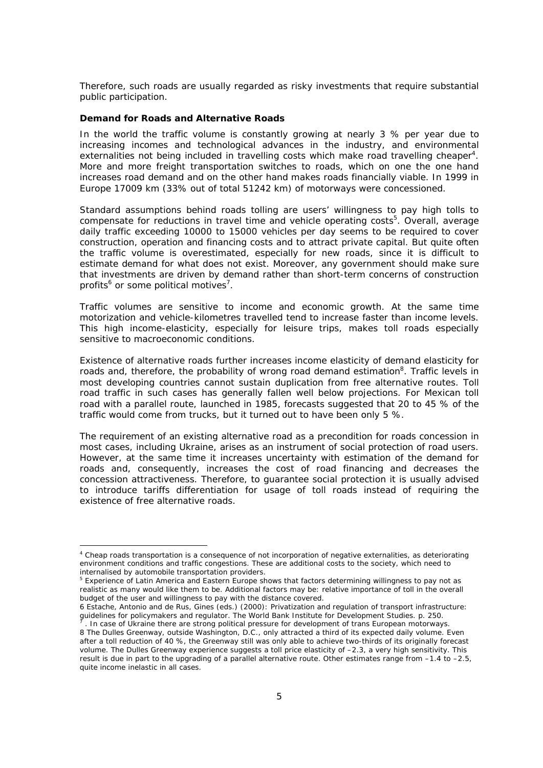Therefore, such roads are usually regarded as risky investments that require substantial public participation.

### **Demand for Roads and Alternative Roads**

In the world the traffic volume is constantly growing at nearly 3 % per year due to increasing incomes and technological advances in the industry, and environmental externalities not being included in travelling costs which make road travelling cheaper<sup>4</sup>. More and more freight transportation switches to roads, which on one the one hand increases road demand and on the other hand makes roads financially viable. In 1999 in Europe 17009 km (33% out of total 51242 km) of motorways were concessioned.

Standard assumptions behind roads tolling are users' willingness to pay high tolls to compensate for reductions in travel time and vehicle operating costs<sup>5</sup>. Overall, average daily traffic exceeding 10000 to 15000 vehicles per day seems to be required to cover construction, operation and financing costs and to attract private capital. But quite often the traffic volume is overestimated, especially for new roads, since it is difficult to estimate demand for what does not exist. Moreover, any government should make sure that investments are driven by demand rather than short-term concerns of construction profits<sup>6</sup> or some political motives<sup>7</sup>.

Traffic volumes are sensitive to income and economic growth. At the same time motorization and vehicle-kilometres travelled tend to increase faster than income levels. This high income-elasticity, especially for leisure trips, makes toll roads especially sensitive to macroeconomic conditions.

Existence of alternative roads further increases income elasticity of demand elasticity for roads and, therefore, the probability of wrong road demand estimation<sup>8</sup>. Traffic levels in most developing countries cannot sustain duplication from free alternative routes. Toll road traffic in such cases has generally fallen well below projections. For Mexican toll road with a parallel route, launched in 1985, forecasts suggested that 20 to 45 % of the traffic would come from trucks, but it turned out to have been only 5 %.

The requirement of an existing alternative road as a precondition for roads concession in most cases, including Ukraine, arises as an instrument of social protection of road users. However, at the same time it increases uncertainty with estimation of the demand for roads and, consequently, increases the cost of road financing and decreases the concession attractiveness. Therefore, to guarantee social protection it is usually advised to introduce tariffs differentiation for usage of toll roads instead of requiring the existence of free alternative roads.

<sup>4</sup> Cheap roads transportation is a consequence of not incorporation of negative externalities, as deteriorating environment conditions and traffic congestions. These are additional costs to the society, which need to internalised by automobile transportation providers.

<sup>&</sup>lt;sup>5</sup> Experience of Latin America and Eastern Europe shows that factors determining willingness to pay not as realistic as many would like them to be. Additional factors may be: relative importance of toll in the overall budget of the user and willingness to pay with the distance covered.

<sup>6</sup> Estache, Antonio and de Rus, Gines (eds.) (2000): Privatization and regulation of transport infrastructure: guidelines for policymakers and regulator. The World Bank Institute for Development Studies. p. 250. 7 . In case of Ukraine there are strong political pressure for development of trans European motorways.

<sup>8</sup> The Dulles Greenway, outside Washington, D.C., only attracted a third of its expected daily volume. Even after a toll reduction of 40 %, the Greenway still was only able to achieve two-thirds of its originally forecast volume. The Dulles Greenway experience suggests a toll price elasticity of –2.3, a very high sensitivity. This result is due in part to the upgrading of a parallel alternative route. Other estimates range from –1.4 to –2.5, quite income inelastic in all cases.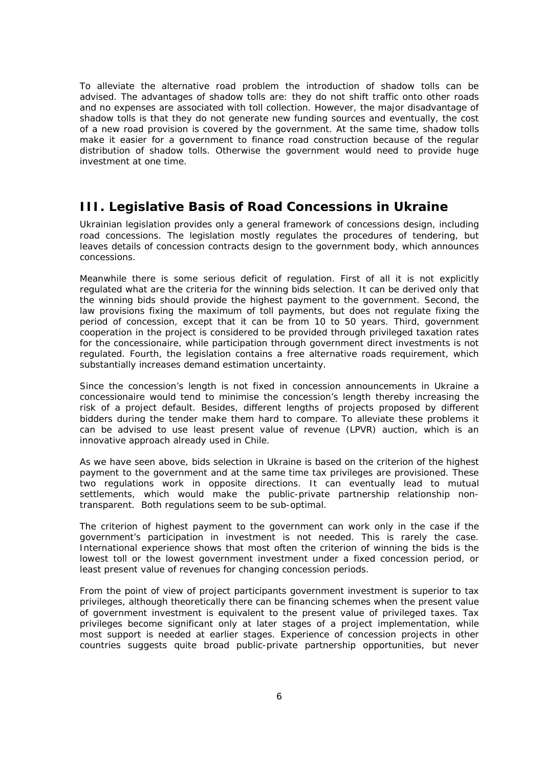To alleviate the alternative road problem the introduction of shadow tolls can be advised. The advantages of shadow tolls are: they do not shift traffic onto other roads and no expenses are associated with toll collection. However, the major disadvantage of shadow tolls is that they do not generate new funding sources and eventually, the cost of a new road provision is covered by the government. At the same time, shadow tolls make it easier for a government to finance road construction because of the regular distribution of shadow tolls. Otherwise the government would need to provide huge investment at one time.

### **III. Legislative Basis of Road Concessions in Ukraine**

Ukrainian legislation provides only a general framework of concessions design, including road concessions. The legislation mostly regulates the procedures of tendering, but leaves details of concession contracts design to the government body, which announces concessions.

Meanwhile there is some serious deficit of regulation. First of all it is not explicitly regulated what are the criteria for the winning bids selection. It can be derived only that the winning bids should provide the highest payment to the government. Second, the law provisions fixing the maximum of toll payments, but does not regulate fixing the period of concession, except that it can be from 10 to 50 years. Third, government cooperation in the project is considered to be provided through privileged taxation rates for the concessionaire, while participation through government direct investments is not regulated. Fourth, the legislation contains a free alternative roads requirement, which substantially increases demand estimation uncertainty.

Since the concession's length is not fixed in concession announcements in Ukraine a concessionaire would tend to minimise the concession's length thereby increasing the risk of a project default. Besides, different lengths of projects proposed by different bidders during the tender make them hard to compare. To alleviate these problems it can be advised to use least present value of revenue (LPVR) auction, which is an innovative approach already used in Chile.

As we have seen above, bids selection in Ukraine is based on the criterion of the highest payment to the government and at the same time tax privileges are provisioned. These two regulations work in opposite directions. It can eventually lead to mutual settlements, which would make the public-private partnership relationship nontransparent. Both regulations seem to be sub-optimal.

The criterion of highest payment to the government can work only in the case if the government's participation in investment is not needed. This is rarely the case. International experience shows that most often the criterion of winning the bids is the lowest toll or the lowest government investment under a fixed concession period, or least present value of revenues for changing concession periods.

From the point of view of project participants government investment is superior to tax privileges, although theoretically there can be financing schemes when the present value of government investment is equivalent to the present value of privileged taxes. Tax privileges become significant only at later stages of a project implementation, while most support is needed at earlier stages. Experience of concession projects in other countries suggests quite broad public-private partnership opportunities, but never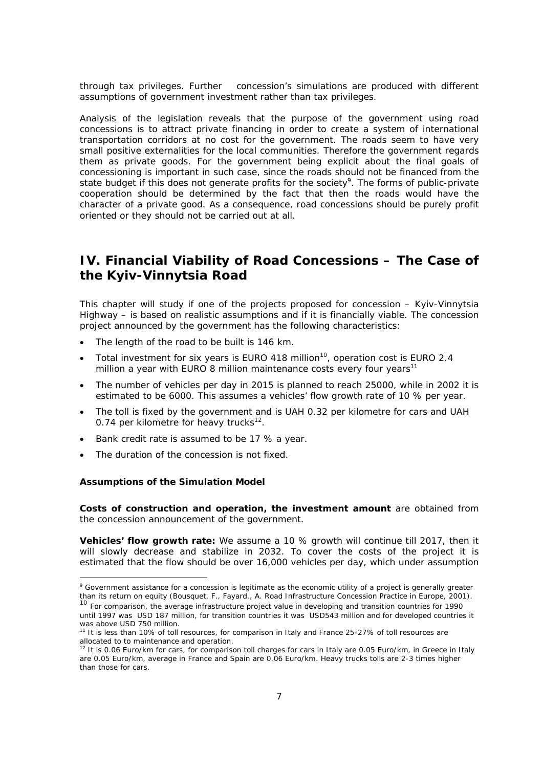through tax privileges. Further concession's simulations are produced with different assumptions of government investment rather than tax privileges.

Analysis of the legislation reveals that the purpose of the government using road concessions is to attract private financing in order to create a system of international transportation corridors at no cost for the government. The roads seem to have very small positive externalities for the local communities. Therefore the government regards them as private goods. For the government being explicit about the final goals of concessioning is important in such case, since the roads should not be financed from the state budget if this does not generate profits for the society<sup>9</sup>. The forms of public-private cooperation should be determined by the fact that then the roads would have the character of a private good. As a consequence, road concessions should be purely profit oriented or they should not be carried out at all.

# **IV. Financial Viability of Road Concessions – The Case of the Kyiv-Vinnytsia Road**

This chapter will study if one of the projects proposed for concession – Kyiv-Vinnytsia Highway – is based on realistic assumptions and if it is financially viable. The concession project announced by the government has the following characteristics:

- The length of the road to be built is 146 km.
- Total investment for six years is EURO 418 million<sup>10</sup>, operation cost is EURO 2.4 million a year with EURO 8 million maintenance costs every four years<sup>11</sup>
- The number of vehicles per day in 2015 is planned to reach 25000, while in 2002 it is estimated to be 6000. This assumes a vehicles' flow growth rate of 10 % per year.
- The toll is fixed by the government and is UAH 0.32 per kilometre for cars and UAH 0.74 per kilometre for heavy trucks $^{12}$ .
- Bank credit rate is assumed to be 17 % a year.
- The duration of the concession is not fixed.

#### **Assumptions of the Simulation Model**

**Costs of construction and operation, the investment amount** are obtained from the concession announcement of the government.

**Vehicles' flow growth rate:** We assume a 10 % growth will continue till 2017, then it will slowly decrease and stabilize in 2032. To cover the costs of the project it is estimated that the flow should be over 16,000 vehicles per day, which under assumption

<sup>&</sup>lt;sup>9</sup> Government assistance for a concession is legitimate as the economic utility of a project is generally greater than its return on equity (Bousquet, F., Fayard., A. Road Infrastructure Concession Practice in Europe, 2001).<br><sup>10</sup> For comparison, the average infrastructure project value in developing and transition countries for 1990

until 1997 was USD 187 million, for transition countries it was USD543 million and for developed countries it was above USD 750 million.

<sup>&</sup>lt;sup>11</sup> It is less than 10% of toll resources, for comparison in Italy and France 25-27% of toll resources are allocated to to maintenance and operation.

<sup>&</sup>lt;sup>12</sup> It is 0.06 Euro/km for cars, for comparison toll charges for cars in Italy are 0.05 Euro/km, in Greece in Italy are 0.05 Euro/km, average in France and Spain are 0.06 Euro/km. Heavy trucks tolls are 2-3 times higher than those for cars.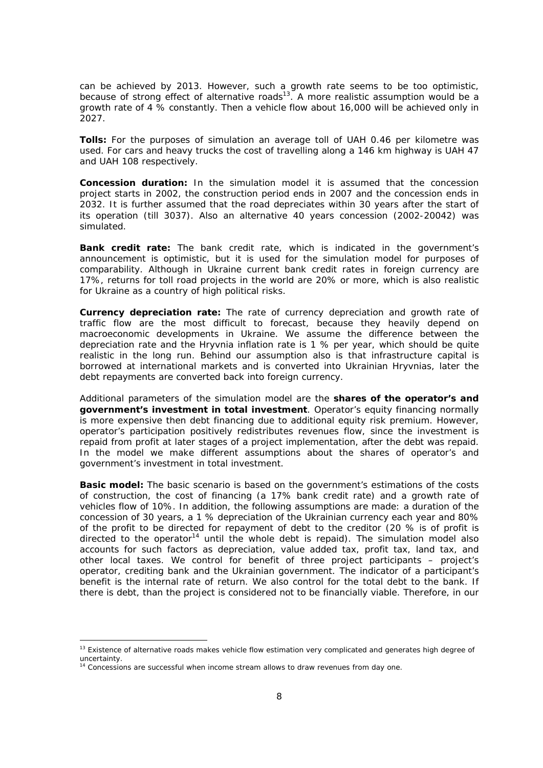can be achieved by 2013. However, such a growth rate seems to be too optimistic, because of strong effect of alternative roads<sup>13</sup>. A more realistic assumption would be a growth rate of 4 % constantly. Then a vehicle flow about 16,000 will be achieved only in 2027.

**Tolls:** For the purposes of simulation an average toll of UAH 0.46 per kilometre was used. For cars and heavy trucks the cost of travelling along a 146 km highway is UAH 47 and UAH 108 respectively.

**Concession duration:** In the simulation model it is assumed that the concession project starts in 2002, the construction period ends in 2007 and the concession ends in 2032. It is further assumed that the road depreciates within 30 years after the start of its operation (till 3037). Also an alternative 40 years concession (2002-20042) was simulated.

**Bank credit rate:** The bank credit rate, which is indicated in the government's announcement is optimistic, but it is used for the simulation model for purposes of comparability. Although in Ukraine current bank credit rates in foreign currency are 17%, returns for toll road projects in the world are 20% or more, which is also realistic for Ukraine as a country of high political risks.

**Currency depreciation rate:** The rate of currency depreciation and growth rate of traffic flow are the most difficult to forecast, because they heavily depend on macroeconomic developments in Ukraine. We assume the difference between the depreciation rate and the Hryvnia inflation rate is 1 % per year, which should be quite realistic in the long run. Behind our assumption also is that infrastructure capital is borrowed at international markets and is converted into Ukrainian Hryvnias, later the debt repayments are converted back into foreign currency.

Additional parameters of the simulation model are the **shares of the operator's and government's investment in total investment**. Operator's equity financing normally is more expensive then debt financing due to additional equity risk premium. However, operator's participation positively redistributes revenues flow, since the investment is repaid from profit at later stages of a project implementation, after the debt was repaid. In the model we make different assumptions about the shares of operator's and government's investment in total investment.

**Basic model:** The basic scenario is based on the government's estimations of the costs of construction, the cost of financing (a 17% bank credit rate) and a growth rate of vehicles flow of 10%. In addition, the following assumptions are made: a duration of the concession of 30 years, a 1 % depreciation of the Ukrainian currency each year and 80% of the profit to be directed for repayment of debt to the creditor (20 % is of profit is directed to the operator<sup>14</sup> until the whole debt is repaid). The simulation model also accounts for such factors as depreciation, value added tax, profit tax, land tax, and other local taxes. We control for benefit of three project participants – project's operator, crediting bank and the Ukrainian government. The indicator of a participant's benefit is the internal rate of return. We also control for the total debt to the bank. If there is debt, than the project is considered not to be financially viable. Therefore, in our

<sup>&</sup>lt;sup>13</sup> Existence of alternative roads makes vehicle flow estimation very complicated and generates high degree of uncertainty.

<sup>14</sup> Concessions are successful when income stream allows to draw revenues from day one.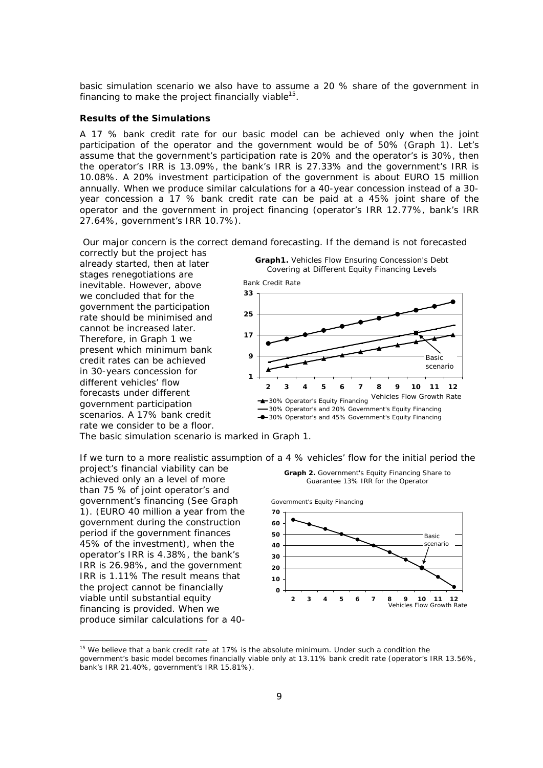basic simulation scenario we also have to assume a 20 % share of the government in financing to make the project financially viable $^{15}$ .

#### **Results of the Simulations**

A 17 % bank credit rate for our basic model can be achieved only when the joint participation of the operator and the government would be of 50% (Graph 1). Let's assume that the government's participation rate is 20% and the operator's is 30%, then the operator's IRR is 13.09%, the bank's IRR is 27.33% and the government's IRR is 10.08%. A 20% investment participation of the government is about EURO 15 million annually. When we produce similar calculations for a 40-year concession instead of a 30 year concession a 17 % bank credit rate can be paid at a 45% joint share of the operator and the government in project financing (operator's IRR 12.77%, bank's IRR 27.64%, government's IRR 10.7%).

 Our major concern is the correct demand forecasting. If the demand is not forecasted correctly but the project has

already started, then at later stages renegotiations are inevitable. However, above we concluded that for the government the participation rate should be minimised and cannot be increased later. Therefore, in Graph 1 we present which minimum bank credit rates can be achieved in 30-years concession for different vehicles' flow forecasts under different government participation scenarios. A 17% bank credit rate we consider to be a floor.



The basic simulation scenario is marked in Graph 1.

If we turn to a more realistic assumption of a 4 % vehicles' flow for the initial period the

project's financial viability can be achieved only an a level of more than 75 % of joint operator's and government's financing (See Graph 1). (EURO 40 million a year from the government during the construction period if the government finances 45% of the investment), when the operator's IRR is 4.38%, the bank's IRR is 26.98%, and the government IRR is 1.11% The result means that the project cannot be financially viable until substantial equity financing is provided. When we produce similar calculations for a 40-





<sup>&</sup>lt;sup>15</sup> We believe that a bank credit rate at 17% is the absolute minimum. Under such a condition the government's basic model becomes financially viable only at 13.11% bank credit rate (operator's IRR 13.56%, bank's IRR 21.40%, government's IRR 15.81%).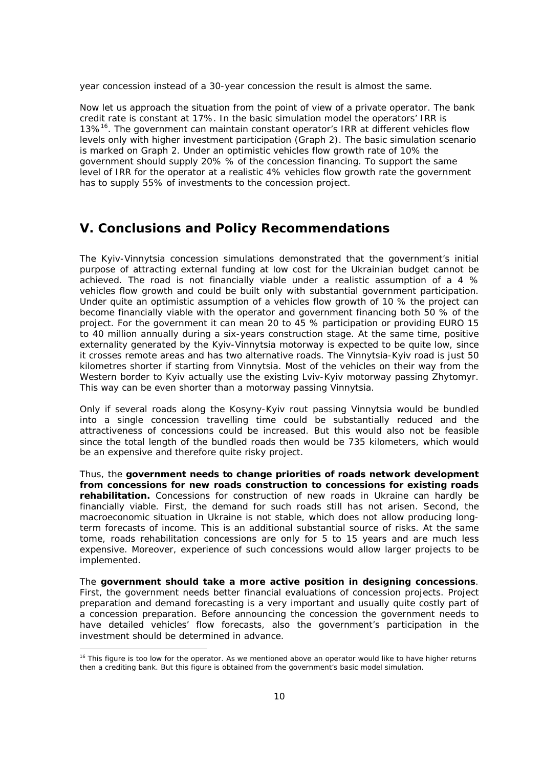year concession instead of a 30-year concession the result is almost the same.

Now let us approach the situation from the point of view of a private operator. The bank credit rate is constant at 17%. In the basic simulation model the operators' IRR is 13%<sup>16</sup>. The government can maintain constant operator's IRR at different vehicles flow levels only with higher investment participation (Graph 2). The basic simulation scenario is marked on Graph 2. Under an optimistic vehicles flow growth rate of 10% the government should supply 20% % of the concession financing. To support the same level of IRR for the operator at a realistic 4% vehicles flow growth rate the government has to supply 55% of investments to the concession project.

### **V. Conclusions and Policy Recommendations**

The Kyiv-Vinnytsia concession simulations demonstrated that the government's initial purpose of attracting external funding at low cost for the Ukrainian budget cannot be achieved. The road is not financially viable under a realistic assumption of a 4 % vehicles flow growth and could be built only with substantial government participation. Under quite an optimistic assumption of a vehicles flow growth of 10 % the project can become financially viable with the operator and government financing both 50 % of the project. For the government it can mean 20 to 45 % participation or providing EURO 15 to 40 million annually during a six-years construction stage. At the same time, positive externality generated by the Kyiv-Vinnytsia motorway is expected to be quite low, since it crosses remote areas and has two alternative roads. The Vinnytsia-Kyiv road is just 50 kilometres shorter if starting from Vinnytsia. Most of the vehicles on their way from the Western border to Kyiv actually use the existing Lviv-Kyiv motorway passing Zhytomyr. This way can be even shorter than a motorway passing Vinnytsia.

Only if several roads along the Kosyny-Kyiv rout passing Vinnytsia would be bundled into a single concession travelling time could be substantially reduced and the attractiveness of concessions could be increased. But this would also not be feasible since the total length of the bundled roads then would be 735 kilometers, which would be an expensive and therefore quite risky project.

Thus, the **government needs to change priorities of roads network development from concessions for new roads construction to concessions for existing roads rehabilitation.** Concessions for construction of new roads in Ukraine can hardly be financially viable. First, the demand for such roads still has not arisen. Second, the macroeconomic situation in Ukraine is not stable, which does not allow producing longterm forecasts of income. This is an additional substantial source of risks. At the same tome, roads rehabilitation concessions are only for 5 to 15 years and are much less expensive. Moreover, experience of such concessions would allow larger projects to be implemented.

The **government should take a more active position in designing concessions**. First, the government needs better financial evaluations of concession projects. Project preparation and demand forecasting is a very important and usually quite costly part of a concession preparation. Before announcing the concession the government needs to have detailed vehicles' flow forecasts, also the government's participation in the investment should be determined in advance.

<sup>&</sup>lt;sup>16</sup> This figure is too low for the operator. As we mentioned above an operator would like to have higher returns then a crediting bank. But this figure is obtained from the government's basic model simulation.